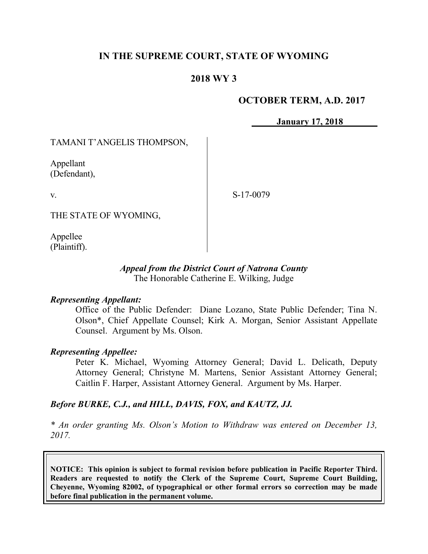# **IN THE SUPREME COURT, STATE OF WYOMING**

## **2018 WY 3**

### **OCTOBER TERM, A.D. 2017**

**January 17, 2018**

TAMANI T'ANGELIS THOMPSON,

Appellant (Defendant),

v.

S-17-0079

THE STATE OF WYOMING,

Appellee (Plaintiff).

#### *Appeal from the District Court of Natrona County* The Honorable Catherine E. Wilking, Judge

#### *Representing Appellant:*

Office of the Public Defender: Diane Lozano, State Public Defender; Tina N. Olson\*, Chief Appellate Counsel; Kirk A. Morgan, Senior Assistant Appellate Counsel. Argument by Ms. Olson.

#### *Representing Appellee:*

Peter K. Michael, Wyoming Attorney General; David L. Delicath, Deputy Attorney General; Christyne M. Martens, Senior Assistant Attorney General; Caitlin F. Harper, Assistant Attorney General. Argument by Ms. Harper.

### *Before BURKE, C.J., and HILL, DAVIS, FOX, and KAUTZ, JJ.*

*\* An order granting Ms. Olson's Motion to Withdraw was entered on December 13, 2017.*

**NOTICE: This opinion is subject to formal revision before publication in Pacific Reporter Third. Readers are requested to notify the Clerk of the Supreme Court, Supreme Court Building, Cheyenne, Wyoming 82002, of typographical or other formal errors so correction may be made before final publication in the permanent volume.**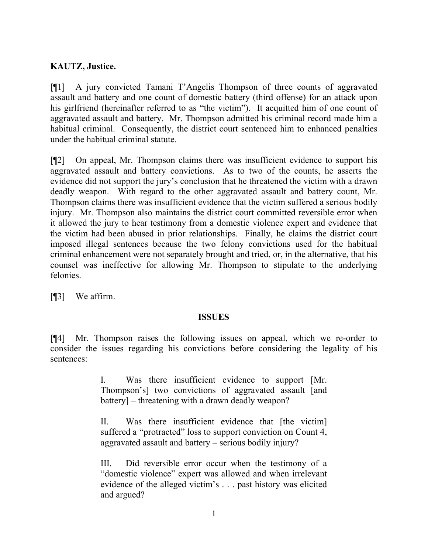# **KAUTZ, Justice.**

[¶1] A jury convicted Tamani T'Angelis Thompson of three counts of aggravated assault and battery and one count of domestic battery (third offense) for an attack upon his girlfriend (hereinafter referred to as "the victim"). It acquitted him of one count of aggravated assault and battery. Mr. Thompson admitted his criminal record made him a habitual criminal. Consequently, the district court sentenced him to enhanced penalties under the habitual criminal statute.

[¶2] On appeal, Mr. Thompson claims there was insufficient evidence to support his aggravated assault and battery convictions. As to two of the counts, he asserts the evidence did not support the jury's conclusion that he threatened the victim with a drawn deadly weapon. With regard to the other aggravated assault and battery count, Mr. Thompson claims there was insufficient evidence that the victim suffered a serious bodily injury. Mr. Thompson also maintains the district court committed reversible error when it allowed the jury to hear testimony from a domestic violence expert and evidence that the victim had been abused in prior relationships. Finally, he claims the district court imposed illegal sentences because the two felony convictions used for the habitual criminal enhancement were not separately brought and tried, or, in the alternative, that his counsel was ineffective for allowing Mr. Thompson to stipulate to the underlying felonies.

[¶3] We affirm.

### **ISSUES**

[¶4] Mr. Thompson raises the following issues on appeal, which we re-order to consider the issues regarding his convictions before considering the legality of his sentences:

> I. Was there insufficient evidence to support [Mr. Thompson's] two convictions of aggravated assault [and battery] – threatening with a drawn deadly weapon?

> II. Was there insufficient evidence that [the victim] suffered a "protracted" loss to support conviction on Count 4, aggravated assault and battery – serious bodily injury?

> III. Did reversible error occur when the testimony of a "domestic violence" expert was allowed and when irrelevant evidence of the alleged victim's . . . past history was elicited and argued?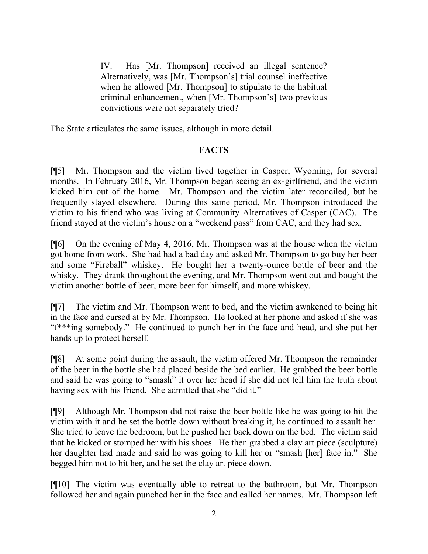IV. Has [Mr. Thompson] received an illegal sentence? Alternatively, was [Mr. Thompson's] trial counsel ineffective when he allowed [Mr. Thompson] to stipulate to the habitual criminal enhancement, when [Mr. Thompson's] two previous convictions were not separately tried?

The State articulates the same issues, although in more detail.

## **FACTS**

[¶5] Mr. Thompson and the victim lived together in Casper, Wyoming, for several months. In February 2016, Mr. Thompson began seeing an ex-girlfriend, and the victim kicked him out of the home. Mr. Thompson and the victim later reconciled, but he frequently stayed elsewhere. During this same period, Mr. Thompson introduced the victim to his friend who was living at Community Alternatives of Casper (CAC). The friend stayed at the victim's house on a "weekend pass" from CAC, and they had sex.

[¶6] On the evening of May 4, 2016, Mr. Thompson was at the house when the victim got home from work. She had had a bad day and asked Mr. Thompson to go buy her beer and some "Fireball" whiskey. He bought her a twenty-ounce bottle of beer and the whisky. They drank throughout the evening, and Mr. Thompson went out and bought the victim another bottle of beer, more beer for himself, and more whiskey.

[¶7] The victim and Mr. Thompson went to bed, and the victim awakened to being hit in the face and cursed at by Mr. Thompson. He looked at her phone and asked if she was "f\*\*\*ing somebody." He continued to punch her in the face and head, and she put her hands up to protect herself.

[¶8] At some point during the assault, the victim offered Mr. Thompson the remainder of the beer in the bottle she had placed beside the bed earlier. He grabbed the beer bottle and said he was going to "smash" it over her head if she did not tell him the truth about having sex with his friend. She admitted that she "did it."

[¶9] Although Mr. Thompson did not raise the beer bottle like he was going to hit the victim with it and he set the bottle down without breaking it, he continued to assault her. She tried to leave the bedroom, but he pushed her back down on the bed. The victim said that he kicked or stomped her with his shoes. He then grabbed a clay art piece (sculpture) her daughter had made and said he was going to kill her or "smash [her] face in." She begged him not to hit her, and he set the clay art piece down.

[¶10] The victim was eventually able to retreat to the bathroom, but Mr. Thompson followed her and again punched her in the face and called her names. Mr. Thompson left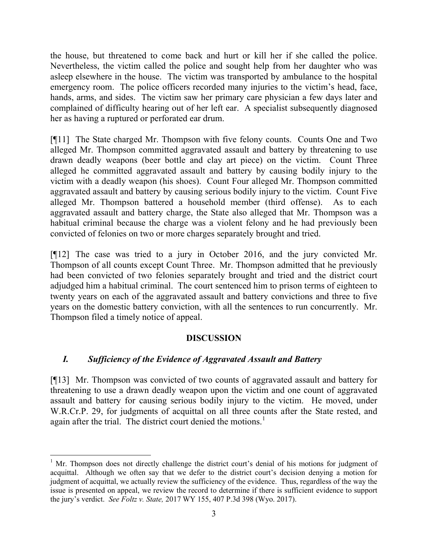the house, but threatened to come back and hurt or kill her if she called the police. Nevertheless, the victim called the police and sought help from her daughter who was asleep elsewhere in the house. The victim was transported by ambulance to the hospital emergency room. The police officers recorded many injuries to the victim's head, face, hands, arms, and sides. The victim saw her primary care physician a few days later and complained of difficulty hearing out of her left ear. A specialist subsequently diagnosed her as having a ruptured or perforated ear drum.

[¶11] The State charged Mr. Thompson with five felony counts. Counts One and Two alleged Mr. Thompson committed aggravated assault and battery by threatening to use drawn deadly weapons (beer bottle and clay art piece) on the victim. Count Three alleged he committed aggravated assault and battery by causing bodily injury to the victim with a deadly weapon (his shoes). Count Four alleged Mr. Thompson committed aggravated assault and battery by causing serious bodily injury to the victim. Count Five alleged Mr. Thompson battered a household member (third offense). As to each aggravated assault and battery charge, the State also alleged that Mr. Thompson was a habitual criminal because the charge was a violent felony and he had previously been convicted of felonies on two or more charges separately brought and tried.

[¶12] The case was tried to a jury in October 2016, and the jury convicted Mr. Thompson of all counts except Count Three. Mr. Thompson admitted that he previously had been convicted of two felonies separately brought and tried and the district court adjudged him a habitual criminal. The court sentenced him to prison terms of eighteen to twenty years on each of the aggravated assault and battery convictions and three to five years on the domestic battery conviction, with all the sentences to run concurrently. Mr. Thompson filed a timely notice of appeal.

# **DISCUSSION**

# *I. Sufficiency of the Evidence of Aggravated Assault and Battery*

[¶13] Mr. Thompson was convicted of two counts of aggravated assault and battery for threatening to use a drawn deadly weapon upon the victim and one count of aggravated assault and battery for causing serious bodily injury to the victim. He moved, under W.R.Cr.P. 29, for judgments of acquittal on all three counts after the State rested, and again after the trial. The district court denied the motions.<sup>1</sup>

 $\overline{a}$ <sup>1</sup> Mr. Thompson does not directly challenge the district court's denial of his motions for judgment of acquittal. Although we often say that we defer to the district court's decision denying a motion for judgment of acquittal, we actually review the sufficiency of the evidence. Thus, regardless of the way the issue is presented on appeal, we review the record to determine if there is sufficient evidence to support the jury's verdict. *See Foltz v. State,* 2017 WY 155, 407 P.3d 398 (Wyo. 2017).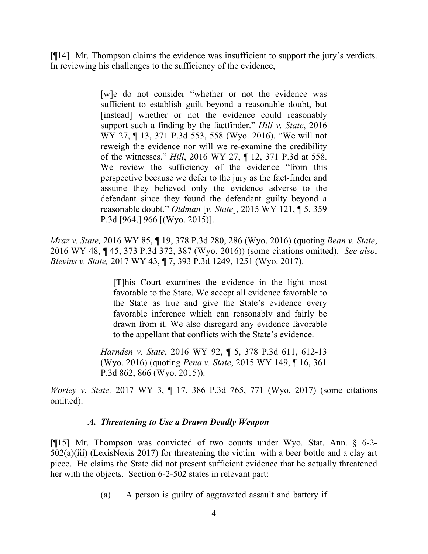[¶14] Mr. Thompson claims the evidence was insufficient to support the jury's verdicts. In reviewing his challenges to the sufficiency of the evidence,

> [w]e do not consider "whether or not the evidence was sufficient to establish guilt beyond a reasonable doubt, but [instead] whether or not the evidence could reasonably support such a finding by the factfinder." *Hill v. State*, 2016 WY 27, ¶ 13, 371 P.3d 553, 558 (Wyo. 2016). "We will not reweigh the evidence nor will we re-examine the credibility of the witnesses." *Hill*, 2016 WY 27, ¶ 12, 371 P.3d at 558. We review the sufficiency of the evidence "from this perspective because we defer to the jury as the fact-finder and assume they believed only the evidence adverse to the defendant since they found the defendant guilty beyond a reasonable doubt." *Oldman* [*v. State*], 2015 WY 121, ¶ 5, 359 P.3d [964,] 966 [(Wyo. 2015)].

*Mraz v. State,* 2016 WY 85, ¶ 19, 378 P.3d 280, 286 (Wyo. 2016) (quoting *Bean v. State*, 2016 WY 48, ¶ 45, 373 P.3d 372, 387 (Wyo. 2016)) (some citations omitted). *See also*, *Blevins v. State,* 2017 WY 43, ¶ 7, 393 P.3d 1249, 1251 (Wyo. 2017).

> [T]his Court examines the evidence in the light most favorable to the State. We accept all evidence favorable to the State as true and give the State's evidence every favorable inference which can reasonably and fairly be drawn from it. We also disregard any evidence favorable to the appellant that conflicts with the State's evidence.

*Harnden v. State*, 2016 WY 92, ¶ 5, 378 P.3d 611, 612-13 (Wyo. 2016) (quoting *Pena v. State*, 2015 WY 149, ¶ 16, 361 P.3d 862, 866 (Wyo. 2015)).

*Worley v. State,* 2017 WY 3, ¶ 17, 386 P.3d 765, 771 (Wyo. 2017) (some citations omitted).

## *A. Threatening to Use a Drawn Deadly Weapon*

[¶15] Mr. Thompson was convicted of two counts under Wyo. Stat. Ann. § 6-2- 502(a)(iii) (LexisNexis 2017) for threatening the victim with a beer bottle and a clay art piece. He claims the State did not present sufficient evidence that he actually threatened her with the objects. Section 6-2-502 states in relevant part:

(a) A person is guilty of aggravated assault and battery if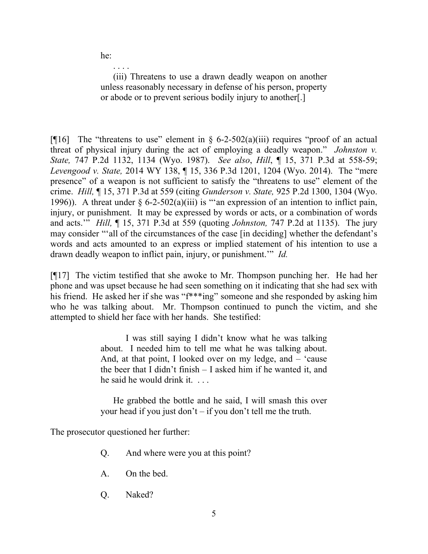he:

. . . . (iii) Threatens to use a drawn deadly weapon on another unless reasonably necessary in defense of his person, property or abode or to prevent serious bodily injury to another[.]

[ $[$ [16] The "threatens to use" element in § 6-2-502(a)(iii) requires "proof of an actual threat of physical injury during the act of employing a deadly weapon." *Johnston v. State,* 747 P.2d 1132, 1134 (Wyo. 1987). *See also*, *Hill*, ¶ 15, 371 P.3d at 558-59; *Levengood v. State,* 2014 WY 138, ¶ 15, 336 P.3d 1201, 1204 (Wyo. 2014). The "mere presence" of a weapon is not sufficient to satisfy the "threatens to use" element of the crime. *Hill,* ¶ 15, 371 P.3d at 559 (citing *Gunderson v. State,* 925 P.2d 1300, 1304 (Wyo. 1996)). A threat under  $\S 6$ -2-502(a)(iii) is "an expression of an intention to inflict pain, injury, or punishment. It may be expressed by words or acts, or a combination of words and acts.'" *Hill,* ¶ 15, 371 P.3d at 559 (quoting *Johnston,* 747 P.2d at 1135). The jury may consider "'all of the circumstances of the case [in deciding] whether the defendant's words and acts amounted to an express or implied statement of his intention to use a drawn deadly weapon to inflict pain, injury, or punishment.'" *Id.*

[¶17] The victim testified that she awoke to Mr. Thompson punching her. He had her phone and was upset because he had seen something on it indicating that she had sex with his friend. He asked her if she was "f\*\*\*ing" someone and she responded by asking him who he was talking about. Mr. Thompson continued to punch the victim, and she attempted to shield her face with her hands. She testified:

> I was still saying I didn't know what he was talking about. I needed him to tell me what he was talking about. And, at that point, I looked over on my ledge, and – 'cause the beer that I didn't finish – I asked him if he wanted it, and he said he would drink it...

> He grabbed the bottle and he said, I will smash this over your head if you just don't – if you don't tell me the truth.

The prosecutor questioned her further:

- Q. And where were you at this point?
- A. On the bed.
- Q. Naked?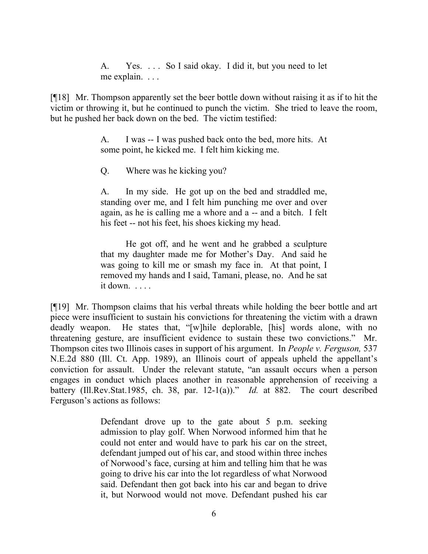A. Yes. . . . So I said okay. I did it, but you need to let me explain. . . .

[¶18] Mr. Thompson apparently set the beer bottle down without raising it as if to hit the victim or throwing it, but he continued to punch the victim. She tried to leave the room, but he pushed her back down on the bed. The victim testified:

> A. I was -- I was pushed back onto the bed, more hits. At some point, he kicked me. I felt him kicking me.

Q. Where was he kicking you?

A. In my side. He got up on the bed and straddled me, standing over me, and I felt him punching me over and over again, as he is calling me a whore and a -- and a bitch. I felt his feet -- not his feet, his shoes kicking my head.

He got off, and he went and he grabbed a sculpture that my daughter made me for Mother's Day. And said he was going to kill me or smash my face in. At that point, I removed my hands and I said, Tamani, please, no. And he sat it down. . . . .

[¶19] Mr. Thompson claims that his verbal threats while holding the beer bottle and art piece were insufficient to sustain his convictions for threatening the victim with a drawn deadly weapon. He states that, "[w]hile deplorable, [his] words alone, with no threatening gesture, are insufficient evidence to sustain these two convictions." Mr. Thompson cites two Illinois cases in support of his argument. In *People v. Ferguson,* 537 N.E.2d 880 (Ill. Ct. App. 1989), an Illinois court of appeals upheld the appellant's conviction for assault. Under the relevant statute, "an assault occurs when a person engages in conduct which places another in reasonable apprehension of receiving a battery (Ill.Rev.Stat.1985, ch. 38, par. 12-1(a))." *Id.* at 882. The court described Ferguson's actions as follows:

> Defendant drove up to the gate about 5 p.m. seeking admission to play golf. When Norwood informed him that he could not enter and would have to park his car on the street, defendant jumped out of his car, and stood within three inches of Norwood's face, cursing at him and telling him that he was going to drive his car into the lot regardless of what Norwood said. Defendant then got back into his car and began to drive it, but Norwood would not move. Defendant pushed his car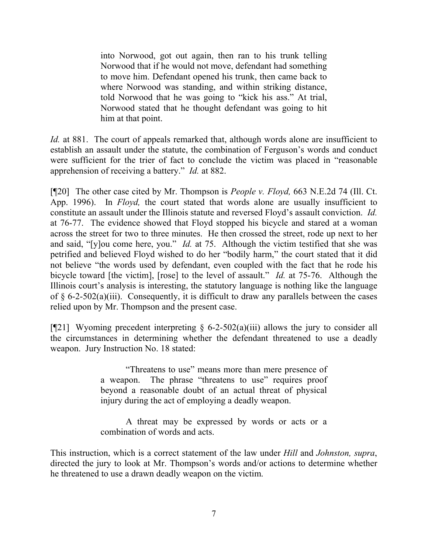into Norwood, got out again, then ran to his trunk telling Norwood that if he would not move, defendant had something to move him. Defendant opened his trunk, then came back to where Norwood was standing, and within striking distance, told Norwood that he was going to "kick his ass." At trial, Norwood stated that he thought defendant was going to hit him at that point.

*Id.* at 881. The court of appeals remarked that, although words alone are insufficient to establish an assault under the statute, the combination of Ferguson's words and conduct were sufficient for the trier of fact to conclude the victim was placed in "reasonable apprehension of receiving a battery." *Id.* at 882.

[¶20] The other case cited by Mr. Thompson is *People v. Floyd,* 663 N.E.2d 74 (Ill. Ct. App. 1996). In *Floyd,* the court stated that words alone are usually insufficient to constitute an assault under the Illinois statute and reversed Floyd's assault conviction. *Id.*  at 76-77. The evidence showed that Floyd stopped his bicycle and stared at a woman across the street for two to three minutes. He then crossed the street, rode up next to her and said, "[y]ou come here, you." *Id.* at 75. Although the victim testified that she was petrified and believed Floyd wished to do her "bodily harm," the court stated that it did not believe "the words used by defendant, even coupled with the fact that he rode his bicycle toward [the victim], [rose] to the level of assault." *Id.* at 75-76. Although the Illinois court's analysis is interesting, the statutory language is nothing like the language of  $\S 6$ -2-502(a)(iii). Consequently, it is difficult to draw any parallels between the cases relied upon by Mr. Thompson and the present case.

[¶21] Wyoming precedent interpreting  $\S$  6-2-502(a)(iii) allows the jury to consider all the circumstances in determining whether the defendant threatened to use a deadly weapon. Jury Instruction No. 18 stated:

> "Threatens to use" means more than mere presence of a weapon. The phrase "threatens to use" requires proof beyond a reasonable doubt of an actual threat of physical injury during the act of employing a deadly weapon.

> A threat may be expressed by words or acts or a combination of words and acts.

This instruction, which is a correct statement of the law under *Hill* and *Johnston, supra*, directed the jury to look at Mr. Thompson's words and/or actions to determine whether he threatened to use a drawn deadly weapon on the victim.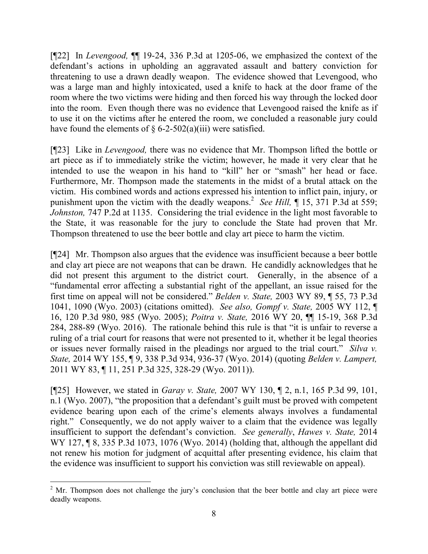[¶22] In *Levengood,* ¶¶ 19-24, 336 P.3d at 1205-06, we emphasized the context of the defendant's actions in upholding an aggravated assault and battery conviction for threatening to use a drawn deadly weapon. The evidence showed that Levengood, who was a large man and highly intoxicated, used a knife to hack at the door frame of the room where the two victims were hiding and then forced his way through the locked door into the room. Even though there was no evidence that Levengood raised the knife as if to use it on the victims after he entered the room, we concluded a reasonable jury could have found the elements of  $\S 6$ -2-502(a)(iii) were satisfied.

[¶23] Like in *Levengood,* there was no evidence that Mr. Thompson lifted the bottle or art piece as if to immediately strike the victim; however, he made it very clear that he intended to use the weapon in his hand to "kill" her or "smash" her head or face. Furthermore, Mr. Thompson made the statements in the midst of a brutal attack on the victim. His combined words and actions expressed his intention to inflict pain, injury, or punishment upon the victim with the deadly weapons.<sup>2</sup> See Hill, ¶ 15, 371 P.3d at 559; *Johnston,* 747 P.2d at 1135.Considering the trial evidence in the light most favorable to the State, it was reasonable for the jury to conclude the State had proven that Mr. Thompson threatened to use the beer bottle and clay art piece to harm the victim.

[¶24] Mr. Thompson also argues that the evidence was insufficient because a beer bottle and clay art piece are not weapons that can be drawn. He candidly acknowledges that he did not present this argument to the district court. Generally, in the absence of a "fundamental error affecting a substantial right of the appellant, an issue raised for the first time on appeal will not be considered." *Belden v. State,* 2003 WY 89, ¶ 55, 73 P.3d 1041, 1090 (Wyo. 2003) (citations omitted). *See also, Gompf v. State,* 2005 WY 112, ¶ 16, 120 P.3d 980, 985 (Wyo. 2005); *Poitra v. State,* 2016 WY 20, ¶¶ 15-19, 368 P.3d 284, 288-89 (Wyo. 2016). The rationale behind this rule is that "it is unfair to reverse a ruling of a trial court for reasons that were not presented to it, whether it be legal theories or issues never formally raised in the pleadings nor argued to the trial court." *Silva v. State,* 2014 WY 155, ¶ 9, 338 P.3d 934, 936-37 (Wyo. 2014) (quoting *Belden v. Lampert,* 2011 WY 83, ¶ 11, 251 P.3d 325, 328-29 (Wyo. 2011)).

[¶25] However, we stated in *Garay v. State,* 2007 WY 130, ¶ 2, n.1, 165 P.3d 99, 101, n.1 (Wyo. 2007), "the proposition that a defendant's guilt must be proved with competent evidence bearing upon each of the crime's elements always involves a fundamental right." Consequently, we do not apply waiver to a claim that the evidence was legally insufficient to support the defendant's conviction. *See generally*, *Hawes v. State,* 2014 WY 127, **18**, 335 P.3d 1073, 1076 (Wyo. 2014) (holding that, although the appellant did not renew his motion for judgment of acquittal after presenting evidence, his claim that the evidence was insufficient to support his conviction was still reviewable on appeal).

 $2^{\circ}$  Mr. Thompson does not challenge the jury's conclusion that the beer bottle and clay art piece were deadly weapons.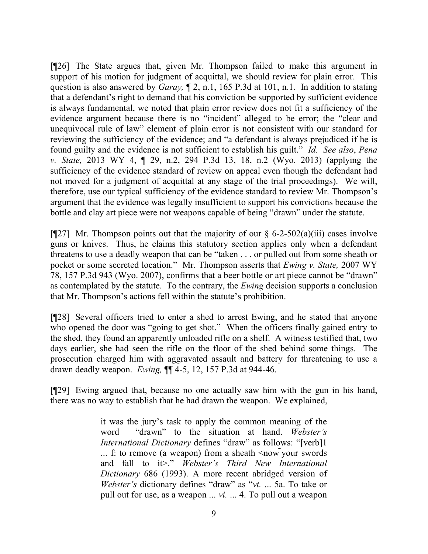[¶26] The State argues that, given Mr. Thompson failed to make this argument in support of his motion for judgment of acquittal, we should review for plain error. This question is also answered by *Garay,* ¶ 2, n.1, 165 P.3d at 101, n.1. In addition to stating that a defendant's right to demand that his conviction be supported by sufficient evidence is always fundamental, we noted that plain error review does not fit a sufficiency of the evidence argument because there is no "incident" alleged to be error; the "clear and unequivocal rule of law" element of plain error is not consistent with our standard for reviewing the sufficiency of the evidence; and "a defendant is always prejudiced if he is found guilty and the evidence is not sufficient to establish his guilt." *Id. See also*, *Pena v. State,* 2013 WY 4, ¶ 29, n.2, 294 P.3d 13, 18, n.2 (Wyo. 2013) (applying the sufficiency of the evidence standard of review on appeal even though the defendant had not moved for a judgment of acquittal at any stage of the trial proceedings). We will, therefore, use our typical sufficiency of the evidence standard to review Mr. Thompson's argument that the evidence was legally insufficient to support his convictions because the bottle and clay art piece were not weapons capable of being "drawn" under the statute.

[ $[$ [27] Mr. Thompson points out that the majority of our § 6-2-502(a)(iii) cases involve guns or knives. Thus, he claims this statutory section applies only when a defendant threatens to use a deadly weapon that can be "taken . . . or pulled out from some sheath or pocket or some secreted location." Mr. Thompson asserts that *Ewing v. State,* 2007 WY 78, 157 P.3d 943 (Wyo. 2007), confirms that a beer bottle or art piece cannot be "drawn" as contemplated by the statute. To the contrary, the *Ewing* decision supports a conclusion that Mr. Thompson's actions fell within the statute's prohibition.

[¶28] Several officers tried to enter a shed to arrest Ewing, and he stated that anyone who opened the door was "going to get shot." When the officers finally gained entry to the shed, they found an apparently unloaded rifle on a shelf. A witness testified that, two days earlier, she had seen the rifle on the floor of the shed behind some things. The prosecution charged him with aggravated assault and battery for threatening to use a drawn deadly weapon. *Ewing,* ¶¶ 4-5, 12, 157 P.3d at 944-46.

[¶29] Ewing argued that, because no one actually saw him with the gun in his hand, there was no way to establish that he had drawn the weapon. We explained,

> it was the jury's task to apply the common meaning of the word "drawn" to the situation at hand. *Webster's International Dictionary* defines "draw" as follows: "[verb]1 ... f: to remove (a weapon) from a sheath <now vour swords and fall to it>." *Webster's Third New International Dictionary* 686 (1993). A more recent abridged version of *Webster's* dictionary defines "draw" as "*vt.* ... 5a. To take or pull out for use, as a weapon ... *vi.* ... 4. To pull out a weapon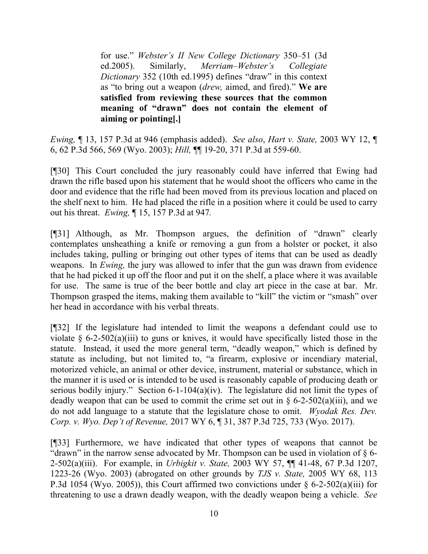for use." *Webster's II New College Dictionary* 350–51 (3d ed.2005). Similarly, *Merriam–Webster's Collegiate Dictionary* 352 (10th ed.1995) defines "draw" in this context as "to bring out a weapon (*drew,* aimed, and fired)." **We are satisfied from reviewing these sources that the common meaning of "drawn" does not contain the element of aiming or pointing[.]**

*Ewing,* ¶ 13, 157 P.3d at 946 (emphasis added). *See also*, *Hart v. State,* 2003 WY 12, ¶ 6, 62 P.3d 566, 569 (Wyo. 2003); *Hill,* ¶¶ 19-20, 371 P.3d at 559-60.

[¶30] This Court concluded the jury reasonably could have inferred that Ewing had drawn the rifle based upon his statement that he would shoot the officers who came in the door and evidence that the rifle had been moved from its previous location and placed on the shelf next to him. He had placed the rifle in a position where it could be used to carry out his threat. *Ewing,* ¶ 15, 157 P.3d at 947*.* 

[¶31] Although, as Mr. Thompson argues, the definition of "drawn" clearly contemplates unsheathing a knife or removing a gun from a holster or pocket, it also includes taking, pulling or bringing out other types of items that can be used as deadly weapons. In *Ewing,* the jury was allowed to infer that the gun was drawn from evidence that he had picked it up off the floor and put it on the shelf, a place where it was available for use. The same is true of the beer bottle and clay art piece in the case at bar. Mr. Thompson grasped the items, making them available to "kill" the victim or "smash" over her head in accordance with his verbal threats.

[¶32] If the legislature had intended to limit the weapons a defendant could use to violate  $\S$  6-2-502(a)(iii) to guns or knives, it would have specifically listed those in the statute. Instead, it used the more general term, "deadly weapon," which is defined by statute as including, but not limited to, "a firearm, explosive or incendiary material, motorized vehicle, an animal or other device, instrument, material or substance, which in the manner it is used or is intended to be used is reasonably capable of producing death or serious bodily injury." Section 6-1-104(a)(iv). The legislature did not limit the types of deadly weapon that can be used to commit the crime set out in  $\S$  6-2-502(a)(iii), and we do not add language to a statute that the legislature chose to omit. *Wyodak Res. Dev. Corp. v. Wyo. Dep't of Revenue,* 2017 WY 6, ¶ 31, 387 P.3d 725, 733 (Wyo. 2017).

[¶33] Furthermore, we have indicated that other types of weapons that cannot be "drawn" in the narrow sense advocated by Mr. Thompson can be used in violation of  $\S$  6-2-502(a)(iii). For example, in *Urbigkit v. State,* 2003 WY 57, ¶¶ 41-48, 67 P.3d 1207, 1223-26 (Wyo. 2003) (abrogated on other grounds by *TJS v. State,* 2005 WY 68, 113 P.3d 1054 (Wyo. 2005)), this Court affirmed two convictions under  $\S$  6-2-502(a)(iii) for threatening to use a drawn deadly weapon, with the deadly weapon being a vehicle. *See*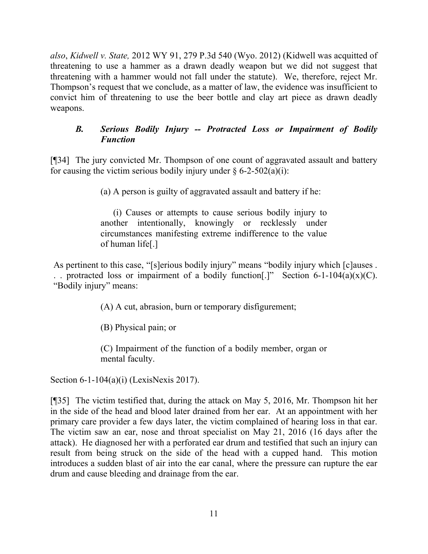*also*, *Kidwell v. State,* 2012 WY 91, 279 P.3d 540 (Wyo. 2012) (Kidwell was acquitted of threatening to use a hammer as a drawn deadly weapon but we did not suggest that threatening with a hammer would not fall under the statute). We, therefore, reject Mr. Thompson's request that we conclude, as a matter of law, the evidence was insufficient to convict him of threatening to use the beer bottle and clay art piece as drawn deadly weapons.

## *B. Serious Bodily Injury -- Protracted Loss or Impairment of Bodily Function*

[¶34] The jury convicted Mr. Thompson of one count of aggravated assault and battery for causing the victim serious bodily injury under  $\S 6-2-502(a)(i)$ :

(a) A person is guilty of aggravated assault and battery if he:

(i) Causes or attempts to cause serious bodily injury to another intentionally, knowingly or recklessly under circumstances manifesting extreme indifference to the value of human life[.]

As pertinent to this case, "[s]erious bodily injury" means "bodily injury which [c]auses . . . protracted loss or impairment of a bodily function.<sup>[1]</sup> Section 6-1-104(a)(x)(C). "Bodily injury" means:

(A) A cut, abrasion, burn or temporary disfigurement;

(B) Physical pain; or

(C) Impairment of the function of a bodily member, organ or mental faculty.

Section 6-1-104(a)(i) (LexisNexis 2017).

[¶35] The victim testified that, during the attack on May 5, 2016, Mr. Thompson hit her in the side of the head and blood later drained from her ear. At an appointment with her primary care provider a few days later, the victim complained of hearing loss in that ear. The victim saw an ear, nose and throat specialist on May 21, 2016 (16 days after the attack). He diagnosed her with a perforated ear drum and testified that such an injury can result from being struck on the side of the head with a cupped hand. This motion introduces a sudden blast of air into the ear canal, where the pressure can rupture the ear drum and cause bleeding and drainage from the ear.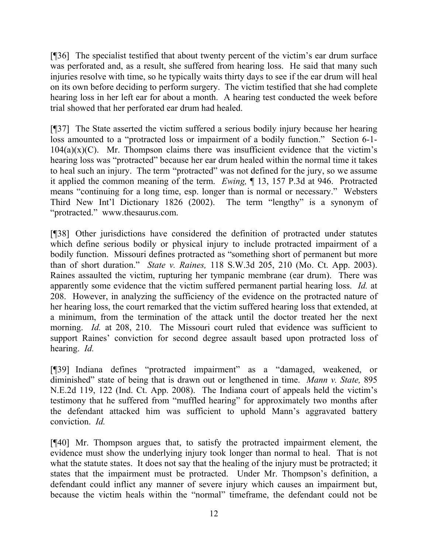[¶36] The specialist testified that about twenty percent of the victim's ear drum surface was perforated and, as a result, she suffered from hearing loss. He said that many such injuries resolve with time, so he typically waits thirty days to see if the ear drum will heal on its own before deciding to perform surgery. The victim testified that she had complete hearing loss in her left ear for about a month. A hearing test conducted the week before trial showed that her perforated ear drum had healed.

[¶37] The State asserted the victim suffered a serious bodily injury because her hearing loss amounted to a "protracted loss or impairment of a bodily function." Section 6-1-  $104(a)(x)(C)$ . Mr. Thompson claims there was insufficient evidence that the victim's hearing loss was "protracted" because her ear drum healed within the normal time it takes to heal such an injury. The term "protracted" was not defined for the jury, so we assume it applied the common meaning of the term. *Ewing,* ¶ 13, 157 P.3d at 946. Protracted means "continuing for a long time, esp. longer than is normal or necessary." Websters Third New Int'l Dictionary 1826 (2002). The term "lengthy" is a synonym of "protracted." www.thesaurus.com.

[¶38] Other jurisdictions have considered the definition of protracted under statutes which define serious bodily or physical injury to include protracted impairment of a bodily function. Missouri defines protracted as "something short of permanent but more than of short duration." *State v. Raines,* 118 S.W.3d 205, 210 (Mo. Ct. App. 2003). Raines assaulted the victim, rupturing her tympanic membrane (ear drum). There was apparently some evidence that the victim suffered permanent partial hearing loss. *Id.* at 208. However, in analyzing the sufficiency of the evidence on the protracted nature of her hearing loss, the court remarked that the victim suffered hearing loss that extended, at a minimum, from the termination of the attack until the doctor treated her the next morning. *Id.* at 208, 210. The Missouri court ruled that evidence was sufficient to support Raines' conviction for second degree assault based upon protracted loss of hearing. *Id.* 

[¶39] Indiana defines "protracted impairment" as a "damaged, weakened, or diminished" state of being that is drawn out or lengthened in time. *Mann v. State,* 895 N.E.2d 119, 122 (Ind. Ct. App. 2008). The Indiana court of appeals held the victim's testimony that he suffered from "muffled hearing" for approximately two months after the defendant attacked him was sufficient to uphold Mann's aggravated battery conviction. *Id.* 

[¶40] Mr. Thompson argues that, to satisfy the protracted impairment element, the evidence must show the underlying injury took longer than normal to heal. That is not what the statute states. It does not say that the healing of the injury must be protracted; it states that the impairment must be protracted. Under Mr. Thompson's definition, a defendant could inflict any manner of severe injury which causes an impairment but, because the victim heals within the "normal" timeframe, the defendant could not be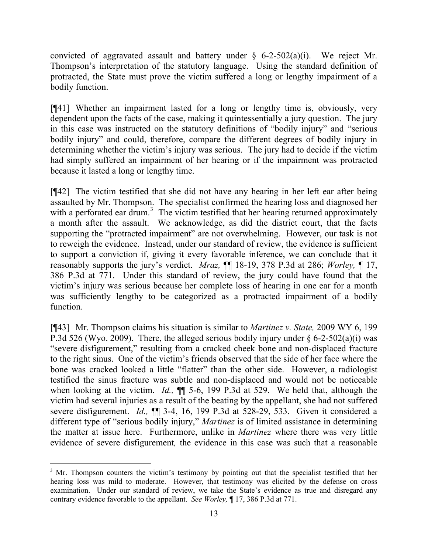convicted of aggravated assault and battery under  $\S$  6-2-502(a)(i). We reject Mr. Thompson's interpretation of the statutory language. Using the standard definition of protracted, the State must prove the victim suffered a long or lengthy impairment of a bodily function.

[¶41] Whether an impairment lasted for a long or lengthy time is, obviously, very dependent upon the facts of the case, making it quintessentially a jury question. The jury in this case was instructed on the statutory definitions of "bodily injury" and "serious bodily injury" and could, therefore, compare the different degrees of bodily injury in determining whether the victim's injury was serious. The jury had to decide if the victim had simply suffered an impairment of her hearing or if the impairment was protracted because it lasted a long or lengthy time.

[¶42] The victim testified that she did not have any hearing in her left ear after being assaulted by Mr. Thompson. The specialist confirmed the hearing loss and diagnosed her with a perforated ear drum.<sup>3</sup> The victim testified that her hearing returned approximately a month after the assault. We acknowledge, as did the district court, that the facts supporting the "protracted impairment" are not overwhelming. However, our task is not to reweigh the evidence. Instead, under our standard of review, the evidence is sufficient to support a conviction if, giving it every favorable inference, we can conclude that it reasonably supports the jury's verdict. *Mraz,* ¶¶ 18-19, 378 P.3d at 286; *Worley,* ¶ 17, 386 P.3d at 771. Under this standard of review, the jury could have found that the victim's injury was serious because her complete loss of hearing in one ear for a month was sufficiently lengthy to be categorized as a protracted impairment of a bodily function.

[¶43] Mr. Thompson claims his situation is similar to *Martinez v. State,* 2009 WY 6, 199 P.3d 526 (Wyo. 2009). There, the alleged serious bodily injury under  $\S$  6-2-502(a)(i) was "severe disfigurement," resulting from a cracked cheek bone and non-displaced fracture to the right sinus. One of the victim's friends observed that the side of her face where the bone was cracked looked a little "flatter" than the other side. However, a radiologist testified the sinus fracture was subtle and non-displaced and would not be noticeable when looking at the victim. *Id.*,  $\P$  5-6, 199 P.3d at 529. We held that, although the victim had several injuries as a result of the beating by the appellant, she had not suffered severe disfigurement. *Id.,* ¶¶ 3-4, 16, 199 P.3d at 528-29, 533. Given it considered a different type of "serious bodily injury," *Martinez* is of limited assistance in determining the matter at issue here. Furthermore, unlike in *Martinez* where there was very little evidence of severe disfigurement*,* the evidence in this case was such that a reasonable

l

<sup>&</sup>lt;sup>3</sup> Mr. Thompson counters the victim's testimony by pointing out that the specialist testified that her hearing loss was mild to moderate. However, that testimony was elicited by the defense on cross examination. Under our standard of review, we take the State's evidence as true and disregard any contrary evidence favorable to the appellant. *See Worley,* ¶ 17, 386 P.3d at 771.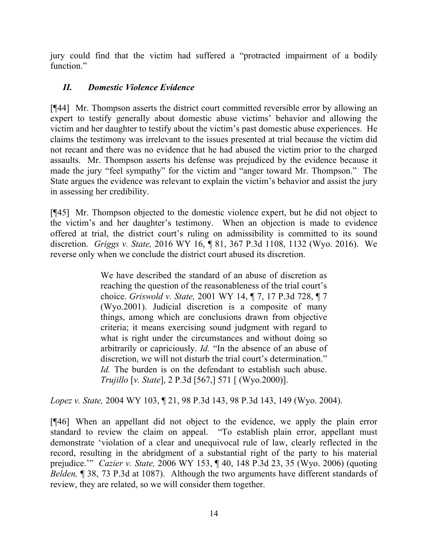jury could find that the victim had suffered a "protracted impairment of a bodily function."

# *II. Domestic Violence Evidence*

[¶44] Mr. Thompson asserts the district court committed reversible error by allowing an expert to testify generally about domestic abuse victims' behavior and allowing the victim and her daughter to testify about the victim's past domestic abuse experiences. He claims the testimony was irrelevant to the issues presented at trial because the victim did not recant and there was no evidence that he had abused the victim prior to the charged assaults. Mr. Thompson asserts his defense was prejudiced by the evidence because it made the jury "feel sympathy" for the victim and "anger toward Mr. Thompson." The State argues the evidence was relevant to explain the victim's behavior and assist the jury in assessing her credibility.

[¶45] Mr. Thompson objected to the domestic violence expert, but he did not object to the victim's and her daughter's testimony. When an objection is made to evidence offered at trial, the district court's ruling on admissibility is committed to its sound discretion. *Griggs v. State,* 2016 WY 16, ¶ 81, 367 P.3d 1108, 1132 (Wyo. 2016). We reverse only when we conclude the district court abused its discretion.

> We have described the standard of an abuse of discretion as reaching the question of the reasonableness of the trial court's choice. *Griswold v. State,* 2001 WY 14, ¶ 7, 17 P.3d 728, ¶ 7 (Wyo.2001). Judicial discretion is a composite of many things, among which are conclusions drawn from objective criteria; it means exercising sound judgment with regard to what is right under the circumstances and without doing so arbitrarily or capriciously. *Id.* "In the absence of an abuse of discretion, we will not disturb the trial court's determination." *Id.* The burden is on the defendant to establish such abuse. *Trujillo* [*v. State*], 2 P.3d [567,] 571 [ (Wyo.2000)].

*Lopez v. State,* 2004 WY 103, ¶ 21, 98 P.3d 143, 98 P.3d 143, 149 (Wyo. 2004).

[¶46] When an appellant did not object to the evidence, we apply the plain error standard to review the claim on appeal. "To establish plain error, appellant must demonstrate 'violation of a clear and unequivocal rule of law, clearly reflected in the record, resulting in the abridgment of a substantial right of the party to his material prejudice.'" *Cazier v. State,* 2006 WY 153, ¶ 40, 148 P.3d 23, 35 (Wyo. 2006) (quoting *Belden,* ¶ 38, 73 P.3d at 1087). Although the two arguments have different standards of review, they are related, so we will consider them together.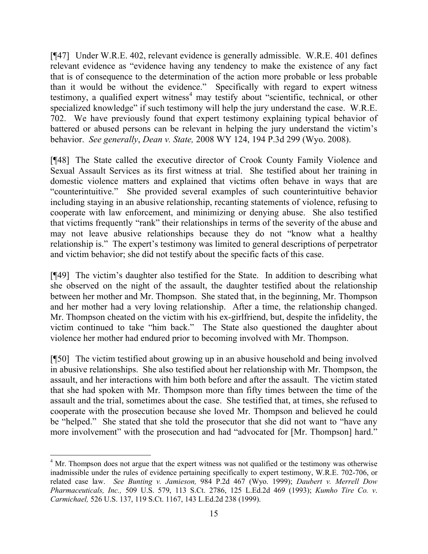[¶47] Under W.R.E. 402, relevant evidence is generally admissible. W.R.E. 401 defines relevant evidence as "evidence having any tendency to make the existence of any fact that is of consequence to the determination of the action more probable or less probable than it would be without the evidence." Specifically with regard to expert witness testimony, a qualified expert witness<sup>4</sup> may testify about "scientific, technical, or other specialized knowledge" if such testimony will help the jury understand the case. W.R.E. 702. We have previously found that expert testimony explaining typical behavior of battered or abused persons can be relevant in helping the jury understand the victim's behavior. *See generally*, *Dean v. State,* 2008 WY 124, 194 P.3d 299 (Wyo. 2008).

[¶48] The State called the executive director of Crook County Family Violence and Sexual Assault Services as its first witness at trial. She testified about her training in domestic violence matters and explained that victims often behave in ways that are "counterintuitive." She provided several examples of such counterintuitive behavior including staying in an abusive relationship, recanting statements of violence, refusing to cooperate with law enforcement, and minimizing or denying abuse. She also testified that victims frequently "rank" their relationships in terms of the severity of the abuse and may not leave abusive relationships because they do not "know what a healthy relationship is." The expert's testimony was limited to general descriptions of perpetrator and victim behavior; she did not testify about the specific facts of this case.

[¶49] The victim's daughter also testified for the State. In addition to describing what she observed on the night of the assault, the daughter testified about the relationship between her mother and Mr. Thompson. She stated that, in the beginning, Mr. Thompson and her mother had a very loving relationship. After a time, the relationship changed. Mr. Thompson cheated on the victim with his ex-girlfriend, but, despite the infidelity, the victim continued to take "him back." The State also questioned the daughter about violence her mother had endured prior to becoming involved with Mr. Thompson.

[¶50] The victim testified about growing up in an abusive household and being involved in abusive relationships. She also testified about her relationship with Mr. Thompson, the assault, and her interactions with him both before and after the assault. The victim stated that she had spoken with Mr. Thompson more than fifty times between the time of the assault and the trial, sometimes about the case. She testified that, at times, she refused to cooperate with the prosecution because she loved Mr. Thompson and believed he could be "helped." She stated that she told the prosecutor that she did not want to "have any more involvement" with the prosecution and had "advocated for [Mr. Thompson] hard."

 $\overline{a}$ 

<sup>&</sup>lt;sup>4</sup> Mr. Thompson does not argue that the expert witness was not qualified or the testimony was otherwise inadmissible under the rules of evidence pertaining specifically to expert testimony, W.R.E. 702-706, or related case law. *See Bunting v. Jamieson,* 984 P.2d 467 (Wyo. 1999); *Daubert v. Merrell Dow Pharmaceuticals, Inc.,* 509 U.S. 579, 113 S.Ct. 2786, 125 L.Ed.2d 469 (1993); *Kumho Tire Co. v*. *Carmichael,* 526 U.S. 137, 119 S.Ct. 1167, 143 L.Ed.2d 238 (1999).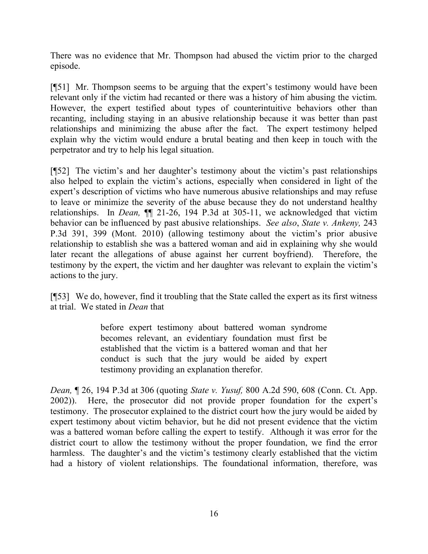There was no evidence that Mr. Thompson had abused the victim prior to the charged episode.

[¶51] Mr. Thompson seems to be arguing that the expert's testimony would have been relevant only if the victim had recanted or there was a history of him abusing the victim. However, the expert testified about types of counterintuitive behaviors other than recanting, including staying in an abusive relationship because it was better than past relationships and minimizing the abuse after the fact. The expert testimony helped explain why the victim would endure a brutal beating and then keep in touch with the perpetrator and try to help his legal situation.

[¶52] The victim's and her daughter's testimony about the victim's past relationships also helped to explain the victim's actions, especially when considered in light of the expert's description of victims who have numerous abusive relationships and may refuse to leave or minimize the severity of the abuse because they do not understand healthy relationships. In *Dean,* ¶¶ 21-26, 194 P.3d at 305-11, we acknowledged that victim behavior can be influenced by past abusive relationships. *See also*, *State v. Ankeny,* 243 P.3d 391, 399 (Mont. 2010) (allowing testimony about the victim's prior abusive relationship to establish she was a battered woman and aid in explaining why she would later recant the allegations of abuse against her current boyfriend). Therefore, the testimony by the expert, the victim and her daughter was relevant to explain the victim's actions to the jury.

[¶53] We do, however, find it troubling that the State called the expert as its first witness at trial. We stated in *Dean* that

> before expert testimony about battered woman syndrome becomes relevant, an evidentiary foundation must first be established that the victim is a battered woman and that her conduct is such that the jury would be aided by expert testimony providing an explanation therefor.

*Dean,* ¶ 26, 194 P.3d at 306 (quoting *State v. Yusuf,* 800 A.2d 590, 608 (Conn. Ct. App. 2002)). Here, the prosecutor did not provide proper foundation for the expert's testimony. The prosecutor explained to the district court how the jury would be aided by expert testimony about victim behavior, but he did not present evidence that the victim was a battered woman before calling the expert to testify. Although it was error for the district court to allow the testimony without the proper foundation, we find the error harmless. The daughter's and the victim's testimony clearly established that the victim had a history of violent relationships. The foundational information, therefore, was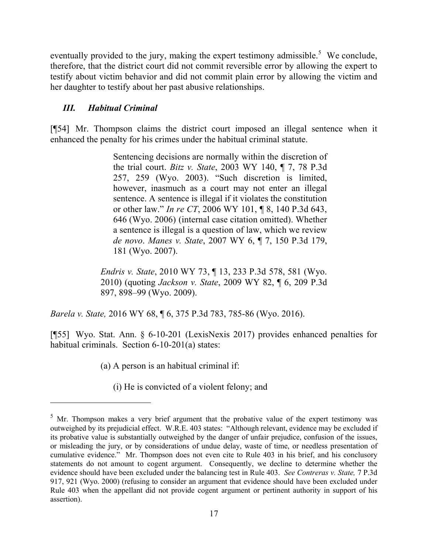eventually provided to the jury, making the expert testimony admissible.<sup>5</sup> We conclude, therefore, that the district court did not commit reversible error by allowing the expert to testify about victim behavior and did not commit plain error by allowing the victim and her daughter to testify about her past abusive relationships.

## *III. Habitual Criminal*

l

[¶54] Mr. Thompson claims the district court imposed an illegal sentence when it enhanced the penalty for his crimes under the habitual criminal statute.

> Sentencing decisions are normally within the discretion of the trial court. *Bitz v. State*, 2003 WY 140, ¶ 7, 78 P.3d 257, 259 (Wyo. 2003). "Such discretion is limited, however, inasmuch as a court may not enter an illegal sentence. A sentence is illegal if it violates the constitution or other law." *In re CT*, 2006 WY 101, ¶ 8, 140 P.3d 643, 646 (Wyo. 2006) (internal case citation omitted). Whether a sentence is illegal is a question of law, which we review *de novo*. *Manes v. State*, 2007 WY 6, ¶ 7, 150 P.3d 179, 181 (Wyo. 2007).

*Endris v. State*, 2010 WY 73, ¶ 13, 233 P.3d 578, 581 (Wyo. 2010) (quoting *Jackson v. State*, 2009 WY 82, ¶ 6, 209 P.3d 897, 898–99 (Wyo. 2009).

*Barela v. State,* 2016 WY 68, ¶ 6, 375 P.3d 783, 785-86 (Wyo. 2016).

[¶55] Wyo. Stat. Ann. § 6-10-201 (LexisNexis 2017) provides enhanced penalties for habitual criminals. Section 6-10-201(a) states:

(a) A person is an habitual criminal if:

(i) He is convicted of a violent felony; and

 $5$  Mr. Thompson makes a very brief argument that the probative value of the expert testimony was outweighed by its prejudicial effect. W.R.E. 403 states: "Although relevant, evidence may be excluded if its probative value is substantially outweighed by the danger of unfair prejudice, confusion of the issues, or misleading the jury, or by considerations of undue delay, waste of time, or needless presentation of cumulative evidence." Mr. Thompson does not even cite to Rule 403 in his brief, and his conclusory statements do not amount to cogent argument. Consequently, we decline to determine whether the evidence should have been excluded under the balancing test in Rule 403. *See Contreras v. State,* 7 P.3d 917, 921 (Wyo. 2000) (refusing to consider an argument that evidence should have been excluded under Rule 403 when the appellant did not provide cogent argument or pertinent authority in support of his assertion).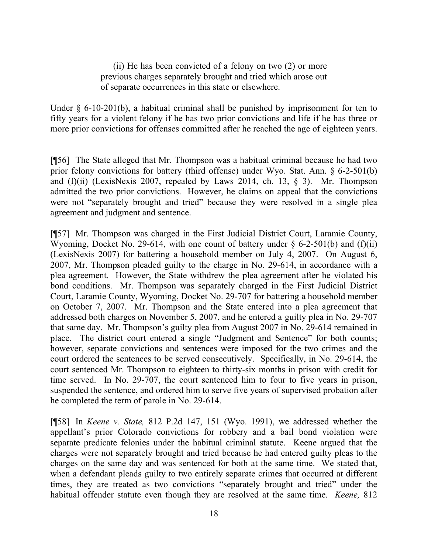(ii) He has been convicted of a felony on two (2) or more previous charges separately brought and tried which arose out of separate occurrences in this state or elsewhere.

Under  $\S$  6-10-201(b), a habitual criminal shall be punished by imprisonment for ten to fifty years for a violent felony if he has two prior convictions and life if he has three or more prior convictions for offenses committed after he reached the age of eighteen years.

[¶56] The State alleged that Mr. Thompson was a habitual criminal because he had two prior felony convictions for battery (third offense) under Wyo. Stat. Ann. § 6-2-501(b) and  $(f)(ii)$  (LexisNexis 2007, repealed by Laws 2014, ch. 13, § 3). Mr. Thompson admitted the two prior convictions. However, he claims on appeal that the convictions were not "separately brought and tried" because they were resolved in a single plea agreement and judgment and sentence.

[¶57] Mr. Thompson was charged in the First Judicial District Court, Laramie County, Wyoming, Docket No. 29-614, with one count of battery under  $\S$  6-2-501(b) and (f)(ii) (LexisNexis 2007) for battering a household member on July 4, 2007. On August 6, 2007, Mr. Thompson pleaded guilty to the charge in No. 29-614, in accordance with a plea agreement. However, the State withdrew the plea agreement after he violated his bond conditions. Mr. Thompson was separately charged in the First Judicial District Court, Laramie County, Wyoming, Docket No. 29-707 for battering a household member on October 7, 2007. Mr. Thompson and the State entered into a plea agreement that addressed both charges on November 5, 2007, and he entered a guilty plea in No. 29-707 that same day. Mr. Thompson's guilty plea from August 2007 in No. 29-614 remained in place. The district court entered a single "Judgment and Sentence" for both counts; however, separate convictions and sentences were imposed for the two crimes and the court ordered the sentences to be served consecutively. Specifically, in No. 29-614, the court sentenced Mr. Thompson to eighteen to thirty-six months in prison with credit for time served. In No. 29-707, the court sentenced him to four to five years in prison, suspended the sentence, and ordered him to serve five years of supervised probation after he completed the term of parole in No. 29-614.

[¶58] In *Keene v. State,* 812 P.2d 147, 151 (Wyo. 1991), we addressed whether the appellant's prior Colorado convictions for robbery and a bail bond violation were separate predicate felonies under the habitual criminal statute. Keene argued that the charges were not separately brought and tried because he had entered guilty pleas to the charges on the same day and was sentenced for both at the same time. We stated that, when a defendant pleads guilty to two entirely separate crimes that occurred at different times, they are treated as two convictions "separately brought and tried" under the habitual offender statute even though they are resolved at the same time. *Keene,* 812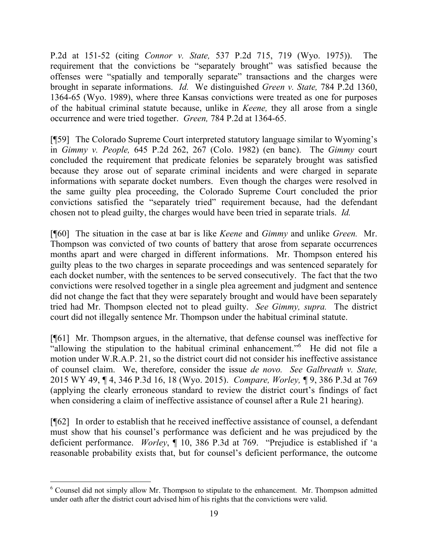P.2d at 151-52 (citing *Connor v. State,* 537 P.2d 715, 719 (Wyo. 1975)). The requirement that the convictions be "separately brought" was satisfied because the offenses were "spatially and temporally separate" transactions and the charges were brought in separate informations. *Id.* We distinguished *Green v. State,* 784 P.2d 1360, 1364-65 (Wyo. 1989), where three Kansas convictions were treated as one for purposes of the habitual criminal statute because, unlike in *Keene,* they all arose from a single occurrence and were tried together. *Green,* 784 P.2d at 1364-65.

[¶59] The Colorado Supreme Court interpreted statutory language similar to Wyoming's in *Gimmy v. People,* 645 P.2d 262, 267 (Colo. 1982) (en banc). The *Gimmy* court concluded the requirement that predicate felonies be separately brought was satisfied because they arose out of separate criminal incidents and were charged in separate informations with separate docket numbers. Even though the charges were resolved in the same guilty plea proceeding, the Colorado Supreme Court concluded the prior convictions satisfied the "separately tried" requirement because, had the defendant chosen not to plead guilty, the charges would have been tried in separate trials. *Id.*

[¶60] The situation in the case at bar is like *Keene* and *Gimmy* and unlike *Green.* Mr. Thompson was convicted of two counts of battery that arose from separate occurrences months apart and were charged in different informations. Mr. Thompson entered his guilty pleas to the two charges in separate proceedings and was sentenced separately for each docket number, with the sentences to be served consecutively. The fact that the two convictions were resolved together in a single plea agreement and judgment and sentence did not change the fact that they were separately brought and would have been separately tried had Mr. Thompson elected not to plead guilty. *See Gimmy, supra.* The district court did not illegally sentence Mr. Thompson under the habitual criminal statute.

[¶61] Mr. Thompson argues, in the alternative, that defense counsel was ineffective for "allowing the stipulation to the habitual criminal enhancement."<sup>6</sup> He did not file a motion under W.R.A.P. 21, so the district court did not consider his ineffective assistance of counsel claim. We, therefore, consider the issue *de novo. See Galbreath v. State,*  2015 WY 49, ¶ 4, 346 P.3d 16, 18 (Wyo. 2015). *Compare, Worley,* ¶ 9, 386 P.3d at 769 (applying the clearly erroneous standard to review the district court's findings of fact when considering a claim of ineffective assistance of counsel after a Rule 21 hearing).

[¶62] In order to establish that he received ineffective assistance of counsel, a defendant must show that his counsel's performance was deficient and he was prejudiced by the deficient performance. *Worley*, ¶ 10, 386 P.3d at 769. "Prejudice is established if 'a reasonable probability exists that, but for counsel's deficient performance, the outcome

 $6$  Counsel did not simply allow Mr. Thompson to stipulate to the enhancement. Mr. Thompson admitted under oath after the district court advised him of his rights that the convictions were valid.